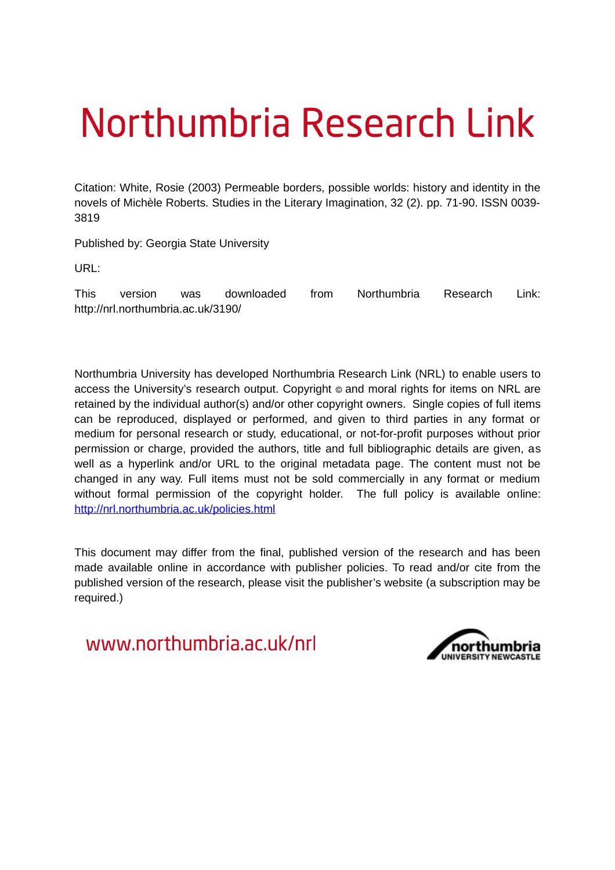# Northumbria Research Link

Citation: White, Rosie (2003) Permeable borders, possible worlds: history and identity in the novels of Michèle Roberts. Studies in the Literary Imagination, 32 (2). pp. 71-90. ISSN 0039- 3819

Published by: Georgia State University

URL:

This version was downloaded from Northumbria Research Link: http://nrl.northumbria.ac.uk/3190/

Northumbria University has developed Northumbria Research Link (NRL) to enable users to access the University's research output. Copyright  $\circ$  and moral rights for items on NRL are retained by the individual author(s) and/or other copyright owners. Single copies of full items can be reproduced, displayed or performed, and given to third parties in any format or medium for personal research or study, educational, or not-for-profit purposes without prior permission or charge, provided the authors, title and full bibliographic details are given, as well as a hyperlink and/or URL to the original metadata page. The content must not be changed in any way. Full items must not be sold commercially in any format or medium without formal permission of the copyright holder. The full policy is available online: <http://nrl.northumbria.ac.uk/policies.html>

This document may differ from the final, published version of the research and has been made available online in accordance with publisher policies. To read and/or cite from the published version of the research, please visit the publisher's website (a subscription may be required.)

www.northumbria.ac.uk/nrl

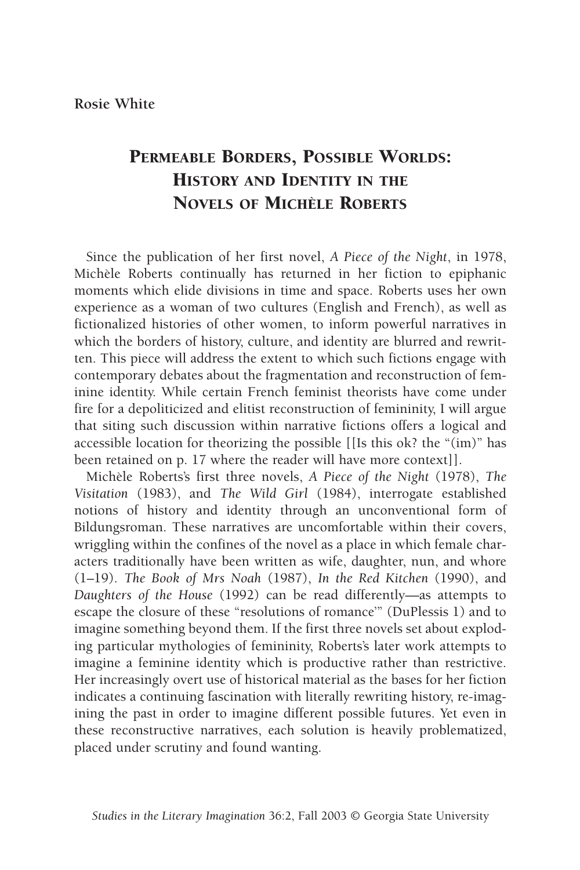# PERMEABLE BORDERS, POSSIBLE WORLDS: HISTORY AND IDENTITY IN THE NOVELS OF MICHÈLE ROBERTS

Since the publication of her first novel, *A Piece of the Night*, in 1978, Michèle Roberts continually has returned in her fiction to epiphanic moments which elide divisions in time and space. Roberts uses her own experience as a woman of two cultures (English and French), as well as fictionalized histories of other women, to inform powerful narratives in which the borders of history, culture, and identity are blurred and rewritten. This piece will address the extent to which such fictions engage with contemporary debates about the fragmentation and reconstruction of feminine identity. While certain French feminist theorists have come under fire for a depoliticized and elitist reconstruction of femininity, I will argue that siting such discussion within narrative fictions offers a logical and accessible location for theorizing the possible [[Is this ok? the " $(im)$ " has been retained on p. 17 where the reader will have more context]].

Michèle Roberts's first three novels, *A Piece of the Night* (1978), *The Visitation* (1983), and *The Wild Girl* (1984), interrogate established notions of history and identity through an unconventional form of Bildungsroman. These narratives are uncomfortable within their covers, wriggling within the confines of the novel as a place in which female characters traditionally have been written as wife, daughter, nun, and whore (1–19). *The Book of Mrs Noah* (1987), *In the Red Kitchen* (1990), and *Daughters of the House* (1992) can be read differently—as attempts to escape the closure of these "resolutions of romance'" (DuPlessis 1) and to imagine something beyond them. If the first three novels set about exploding particular mythologies of femininity, Roberts's later work attempts to imagine a feminine identity which is productive rather than restrictive. Her increasingly overt use of historical material as the bases for her fiction indicates a continuing fascination with literally rewriting history, re-imagining the past in order to imagine different possible futures. Yet even in these reconstructive narratives, each solution is heavily problematized, placed under scrutiny and found wanting.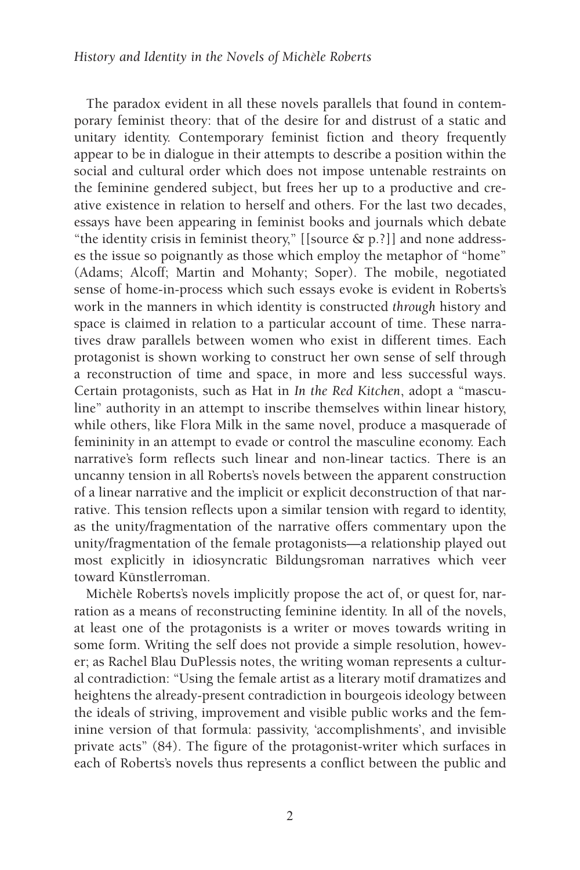The paradox evident in all these novels parallels that found in contemporary feminist theory: that of the desire for and distrust of a static and unitary identity. Contemporary feminist fiction and theory frequently appear to be in dialogue in their attempts to describe a position within the social and cultural order which does not impose untenable restraints on the feminine gendered subject, but frees her up to a productive and creative existence in relation to herself and others. For the last two decades, essays have been appearing in feminist books and journals which debate "the identity crisis in feminist theory," [[source & p.?]] and none addresses the issue so poignantly as those which employ the metaphor of "home" (Adams; Alcoff; Martin and Mohanty; Soper). The mobile, negotiated sense of home-in-process which such essays evoke is evident in Roberts's work in the manners in which identity is constructed *through* history and space is claimed in relation to a particular account of time. These narratives draw parallels between women who exist in different times. Each protagonist is shown working to construct her own sense of self through a reconstruction of time and space, in more and less successful ways. Certain protagonists, such as Hat in *In the Red Kitchen*, adopt a "masculine" authority in an attempt to inscribe themselves within linear history, while others, like Flora Milk in the same novel, produce a masquerade of femininity in an attempt to evade or control the masculine economy. Each narrative's form reflects such linear and non-linear tactics. There is an uncanny tension in all Roberts's novels between the apparent construction of a linear narrative and the implicit or explicit deconstruction of that narrative. This tension reflects upon a similar tension with regard to identity, as the unity/fragmentation of the narrative offers commentary upon the unity/fragmentation of the female protagonists—a relationship played out most explicitly in idiosyncratic Bildungsroman narratives which veer toward Künstlerroman.

Michèle Roberts's novels implicitly propose the act of, or quest for, narration as a means of reconstructing feminine identity. In all of the novels, at least one of the protagonists is a writer or moves towards writing in some form. Writing the self does not provide a simple resolution, however; as Rachel Blau DuPlessis notes, the writing woman represents a cultural contradiction: "Using the female artist as a literary motif dramatizes and heightens the already-present contradiction in bourgeois ideology between the ideals of striving, improvement and visible public works and the feminine version of that formula: passivity, 'accomplishments', and invisible private acts" (84). The figure of the protagonist-writer which surfaces in each of Roberts's novels thus represents a conflict between the public and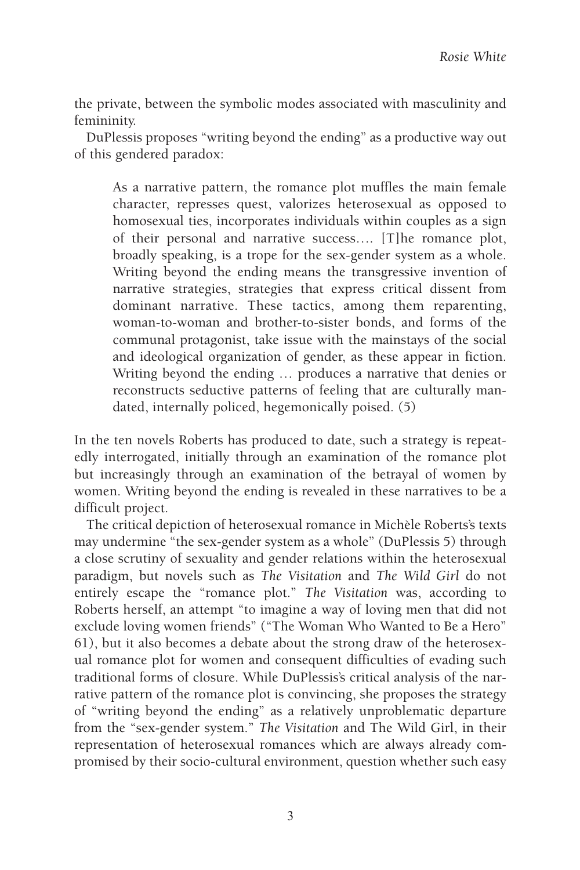the private, between the symbolic modes associated with masculinity and femininity.

DuPlessis proposes "writing beyond the ending" as a productive way out of this gendered paradox:

As a narrative pattern, the romance plot muffles the main female character, represses quest, valorizes heterosexual as opposed to homosexual ties, incorporates individuals within couples as a sign of their personal and narrative success…. [T]he romance plot, broadly speaking, is a trope for the sex-gender system as a whole. Writing beyond the ending means the transgressive invention of narrative strategies, strategies that express critical dissent from dominant narrative. These tactics, among them reparenting, woman-to-woman and brother-to-sister bonds, and forms of the communal protagonist, take issue with the mainstays of the social and ideological organization of gender, as these appear in fiction. Writing beyond the ending … produces a narrative that denies or reconstructs seductive patterns of feeling that are culturally mandated, internally policed, hegemonically poised. (5)

In the ten novels Roberts has produced to date, such a strategy is repeatedly interrogated, initially through an examination of the romance plot but increasingly through an examination of the betrayal of women by women. Writing beyond the ending is revealed in these narratives to be a difficult project.

The critical depiction of heterosexual romance in Michèle Roberts's texts may undermine "the sex-gender system as a whole" (DuPlessis 5) through a close scrutiny of sexuality and gender relations within the heterosexual paradigm, but novels such as *The Visitation* and *The Wild Girl* do not entirely escape the "romance plot." *The Visitation* was, according to Roberts herself, an attempt "to imagine a way of loving men that did not exclude loving women friends" ("The Woman Who Wanted to Be a Hero" 61), but it also becomes a debate about the strong draw of the heterosexual romance plot for women and consequent difficulties of evading such traditional forms of closure. While DuPlessis's critical analysis of the narrative pattern of the romance plot is convincing, she proposes the strategy of "writing beyond the ending" as a relatively unproblematic departure from the "sex-gender system." *The Visitation* and The Wild Girl, in their representation of heterosexual romances which are always already compromised by their socio-cultural environment, question whether such easy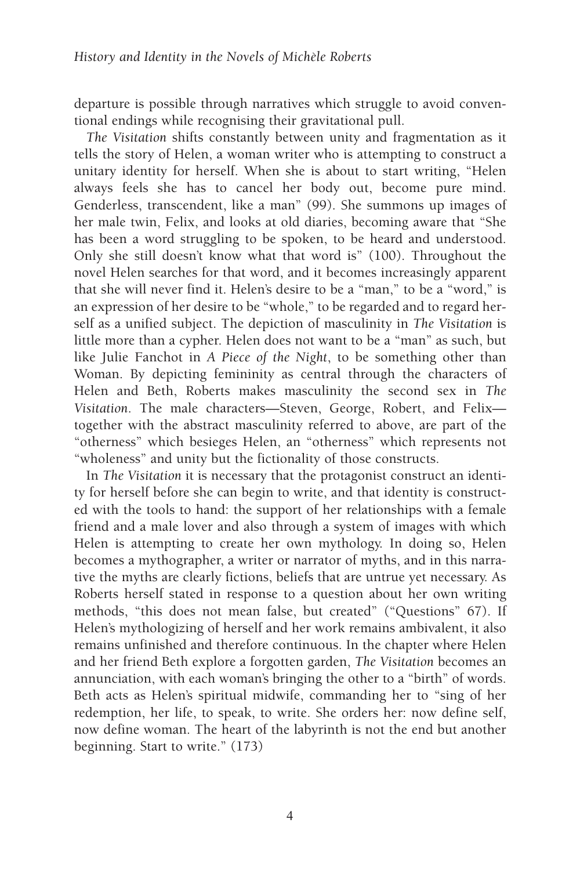departure is possible through narratives which struggle to avoid conventional endings while recognising their gravitational pull.

*The Visitation* shifts constantly between unity and fragmentation as it tells the story of Helen, a woman writer who is attempting to construct a unitary identity for herself. When she is about to start writing, "Helen always feels she has to cancel her body out, become pure mind. Genderless, transcendent, like a man" (99). She summons up images of her male twin, Felix, and looks at old diaries, becoming aware that "She has been a word struggling to be spoken, to be heard and understood. Only she still doesn't know what that word is" (100). Throughout the novel Helen searches for that word, and it becomes increasingly apparent that she will never find it. Helen's desire to be a "man," to be a "word," is an expression of her desire to be "whole," to be regarded and to regard herself as a unified subject. The depiction of masculinity in *The Visitation* is little more than a cypher. Helen does not want to be a "man" as such, but like Julie Fanchot in *A Piece of the Night*, to be something other than Woman. By depicting femininity as central through the characters of Helen and Beth, Roberts makes masculinity the second sex in *The Visitation*. The male characters—Steven, George, Robert, and Felix together with the abstract masculinity referred to above, are part of the "otherness" which besieges Helen, an "otherness" which represents not "wholeness" and unity but the fictionality of those constructs.

In *The Visitation* it is necessary that the protagonist construct an identity for herself before she can begin to write, and that identity is constructed with the tools to hand: the support of her relationships with a female friend and a male lover and also through a system of images with which Helen is attempting to create her own mythology. In doing so, Helen becomes a mythographer, a writer or narrator of myths, and in this narrative the myths are clearly fictions, beliefs that are untrue yet necessary. As Roberts herself stated in response to a question about her own writing methods, "this does not mean false, but created" ("Questions" 67). If Helen's mythologizing of herself and her work remains ambivalent, it also remains unfinished and therefore continuous. In the chapter where Helen and her friend Beth explore a forgotten garden, *The Visitation* becomes an annunciation, with each woman's bringing the other to a "birth" of words. Beth acts as Helen's spiritual midwife, commanding her to "sing of her redemption, her life, to speak, to write. She orders her: now define self, now define woman. The heart of the labyrinth is not the end but another beginning. Start to write." (173)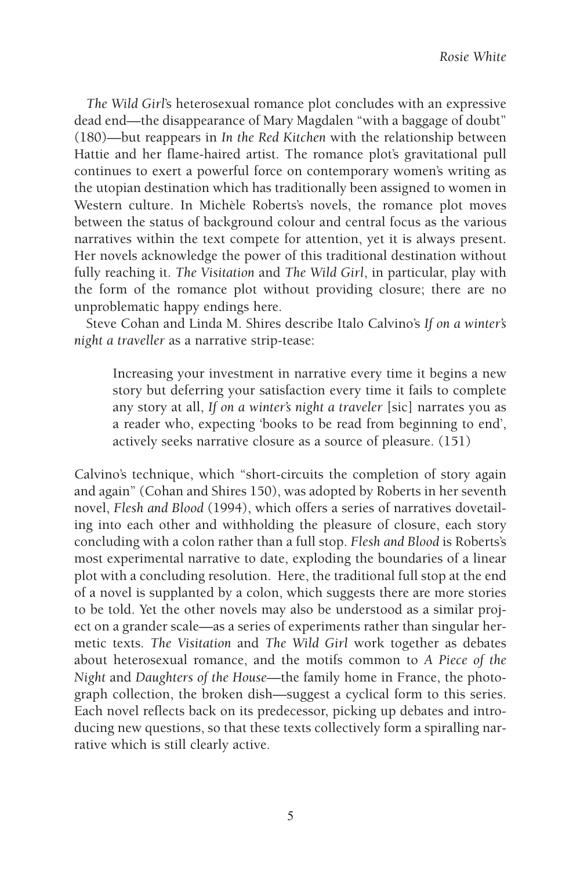*The Wild Girl*'s heterosexual romance plot concludes with an expressive dead end—the disappearance of Mary Magdalen "with a baggage of doubt" (180)—but reappears in *In the Red Kitchen* with the relationship between Hattie and her flame-haired artist. The romance plot's gravitational pull continues to exert a powerful force on contemporary women's writing as the utopian destination which has traditionally been assigned to women in Western culture. In Michèle Roberts's novels, the romance plot moves between the status of background colour and central focus as the various narratives within the text compete for attention, yet it is always present. Her novels acknowledge the power of this traditional destination without fully reaching it. *The Visitation* and *The Wild Girl*, in particular, play with the form of the romance plot without providing closure; there are no unproblematic happy endings here.

Steve Cohan and Linda M. Shires describe Italo Calvino's *If on a winter's night a traveller* as a narrative strip-tease:

Increasing your investment in narrative every time it begins a new story but deferring your satisfaction every time it fails to complete any story at all, *If on a winter's night a traveler* [sic] narrates you as a reader who, expecting 'books to be read from beginning to end', actively seeks narrative closure as a source of pleasure. (151)

Calvino's technique, which "short-circuits the completion of story again and again" (Cohan and Shires 150), was adopted by Roberts in her seventh novel, *Flesh and Blood* (1994), which offers a series of narratives dovetailing into each other and withholding the pleasure of closure, each story concluding with a colon rather than a full stop. *Flesh and Blood* is Roberts's most experimental narrative to date, exploding the boundaries of a linear plot with a concluding resolution. Here, the traditional full stop at the end of a novel is supplanted by a colon, which suggests there are more stories to be told. Yet the other novels may also be understood as a similar project on a grander scale—as a series of experiments rather than singular hermetic texts. *The Visitation* and *The Wild Girl* work together as debates about heterosexual romance, and the motifs common to *A Piece of the Night* and *Daughters of the House*—the family home in France, the photograph collection, the broken dish—suggest a cyclical form to this series. Each novel reflects back on its predecessor, picking up debates and introducing new questions, so that these texts collectively form a spiralling narrative which is still clearly active.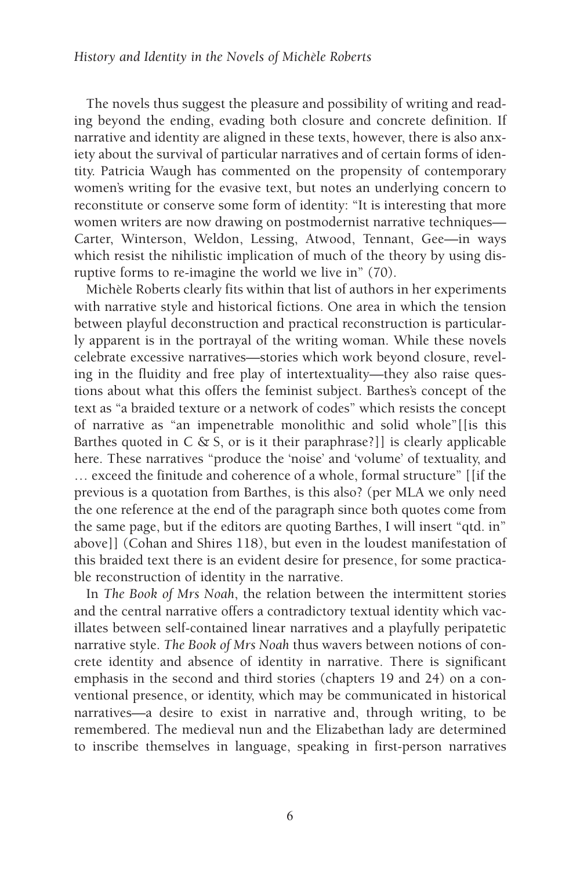The novels thus suggest the pleasure and possibility of writing and reading beyond the ending, evading both closure and concrete definition. If narrative and identity are aligned in these texts, however, there is also anxiety about the survival of particular narratives and of certain forms of identity. Patricia Waugh has commented on the propensity of contemporary women's writing for the evasive text, but notes an underlying concern to reconstitute or conserve some form of identity: "It is interesting that more women writers are now drawing on postmodernist narrative techniques— Carter, Winterson, Weldon, Lessing, Atwood, Tennant, Gee—in ways which resist the nihilistic implication of much of the theory by using disruptive forms to re-imagine the world we live in" (70).

Michèle Roberts clearly fits within that list of authors in her experiments with narrative style and historical fictions. One area in which the tension between playful deconstruction and practical reconstruction is particularly apparent is in the portrayal of the writing woman. While these novels celebrate excessive narratives—stories which work beyond closure, reveling in the fluidity and free play of intertextuality—they also raise questions about what this offers the feminist subject. Barthes's concept of the text as "a braided texture or a network of codes" which resists the concept of narrative as "an impenetrable monolithic and solid whole"[[is this Barthes quoted in  $C \& S$ , or is it their paraphrase?]] is clearly applicable here. These narratives "produce the 'noise' and 'volume' of textuality, and … exceed the finitude and coherence of a whole, formal structure" [[if the previous is a quotation from Barthes, is this also? (per MLA we only need the one reference at the end of the paragraph since both quotes come from the same page, but if the editors are quoting Barthes, I will insert "qtd. in" above]] (Cohan and Shires 118), but even in the loudest manifestation of this braided text there is an evident desire for presence, for some practicable reconstruction of identity in the narrative.

In *The Book of Mrs Noah*, the relation between the intermittent stories and the central narrative offers a contradictory textual identity which vacillates between self-contained linear narratives and a playfully peripatetic narrative style. *The Book of Mrs Noah* thus wavers between notions of concrete identity and absence of identity in narrative. There is significant emphasis in the second and third stories (chapters 19 and 24) on a conventional presence, or identity, which may be communicated in historical narratives—a desire to exist in narrative and, through writing, to be remembered. The medieval nun and the Elizabethan lady are determined to inscribe themselves in language, speaking in first-person narratives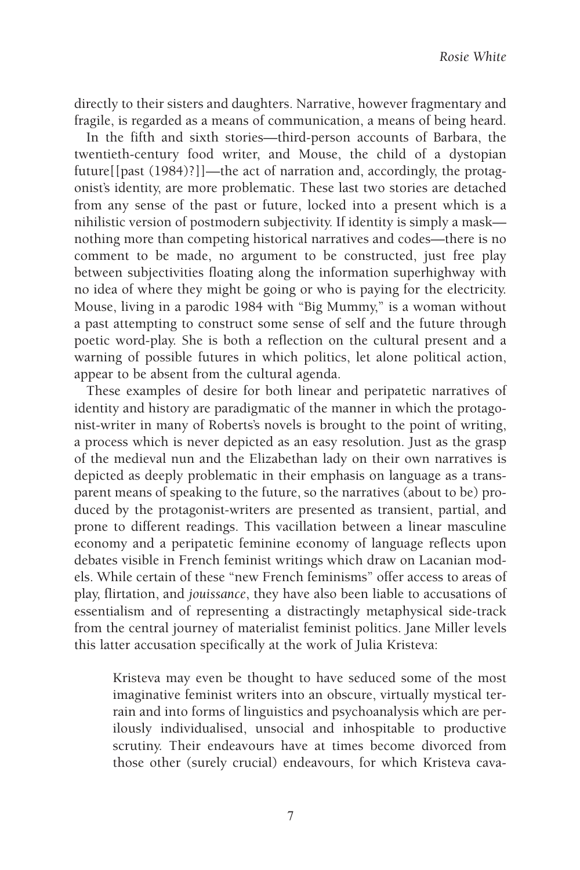directly to their sisters and daughters. Narrative, however fragmentary and fragile, is regarded as a means of communication, a means of being heard.

In the fifth and sixth stories—third-person accounts of Barbara, the twentieth-century food writer, and Mouse, the child of a dystopian future[[past (1984)?]]—the act of narration and, accordingly, the protagonist's identity, are more problematic. These last two stories are detached from any sense of the past or future, locked into a present which is a nihilistic version of postmodern subjectivity. If identity is simply a mask nothing more than competing historical narratives and codes—there is no comment to be made, no argument to be constructed, just free play between subjectivities floating along the information superhighway with no idea of where they might be going or who is paying for the electricity. Mouse, living in a parodic 1984 with "Big Mummy," is a woman without a past attempting to construct some sense of self and the future through poetic word-play. She is both a reflection on the cultural present and a warning of possible futures in which politics, let alone political action, appear to be absent from the cultural agenda.

These examples of desire for both linear and peripatetic narratives of identity and history are paradigmatic of the manner in which the protagonist-writer in many of Roberts's novels is brought to the point of writing, a process which is never depicted as an easy resolution. Just as the grasp of the medieval nun and the Elizabethan lady on their own narratives is depicted as deeply problematic in their emphasis on language as a transparent means of speaking to the future, so the narratives (about to be) produced by the protagonist-writers are presented as transient, partial, and prone to different readings. This vacillation between a linear masculine economy and a peripatetic feminine economy of language reflects upon debates visible in French feminist writings which draw on Lacanian models. While certain of these "new French feminisms" offer access to areas of play, flirtation, and *jouissance*, they have also been liable to accusations of essentialism and of representing a distractingly metaphysical side-track from the central journey of materialist feminist politics. Jane Miller levels this latter accusation specifically at the work of Julia Kristeva:

Kristeva may even be thought to have seduced some of the most imaginative feminist writers into an obscure, virtually mystical terrain and into forms of linguistics and psychoanalysis which are perilously individualised, unsocial and inhospitable to productive scrutiny. Their endeavours have at times become divorced from those other (surely crucial) endeavours, for which Kristeva cava-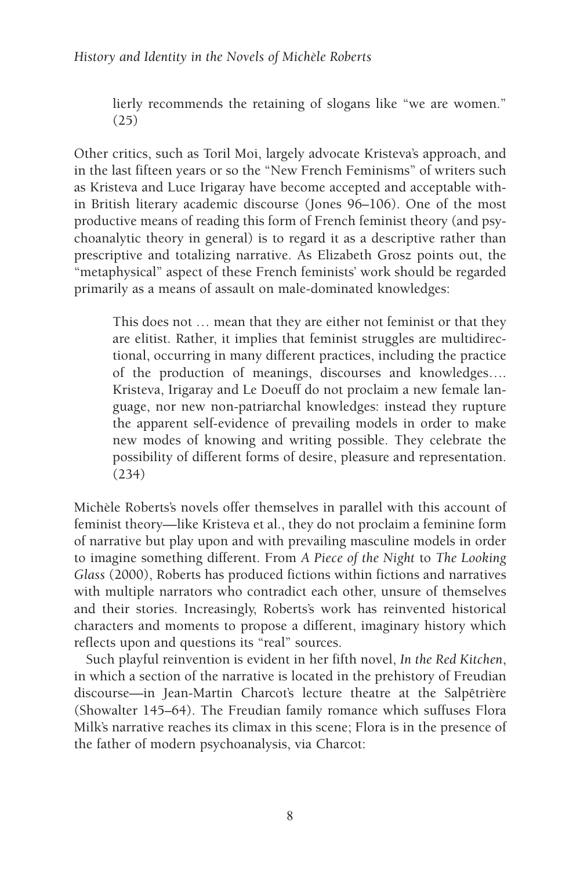## *History and Identity in the Novels of Michèle Roberts*

lierly recommends the retaining of slogans like "we are women." (25)

Other critics, such as Toril Moi, largely advocate Kristeva's approach, and in the last fifteen years or so the "New French Feminisms" of writers such as Kristeva and Luce Irigaray have become accepted and acceptable within British literary academic discourse (Jones 96–106). One of the most productive means of reading this form of French feminist theory (and psychoanalytic theory in general) is to regard it as a descriptive rather than prescriptive and totalizing narrative. As Elizabeth Grosz points out, the "metaphysical" aspect of these French feminists' work should be regarded primarily as a means of assault on male-dominated knowledges:

This does not … mean that they are either not feminist or that they are elitist. Rather, it implies that feminist struggles are multidirectional, occurring in many different practices, including the practice of the production of meanings, discourses and knowledges…. Kristeva, Irigaray and Le Doeuff do not proclaim a new female language, nor new non-patriarchal knowledges: instead they rupture the apparent self-evidence of prevailing models in order to make new modes of knowing and writing possible. They celebrate the possibility of different forms of desire, pleasure and representation. (234)

Michèle Roberts's novels offer themselves in parallel with this account of feminist theory—like Kristeva et al., they do not proclaim a feminine form of narrative but play upon and with prevailing masculine models in order to imagine something different. From *A Piece of the Night* to *The Looking Glass* (2000), Roberts has produced fictions within fictions and narratives with multiple narrators who contradict each other, unsure of themselves and their stories. Increasingly, Roberts's work has reinvented historical characters and moments to propose a different, imaginary history which reflects upon and questions its "real" sources.

Such playful reinvention is evident in her fifth novel, *In the Red Kitchen*, in which a section of the narrative is located in the prehistory of Freudian discourse—in Jean-Martin Charcot's lecture theatre at the Salpêtrière (Showalter 145–64). The Freudian family romance which suffuses Flora Milk's narrative reaches its climax in this scene; Flora is in the presence of the father of modern psychoanalysis, via Charcot: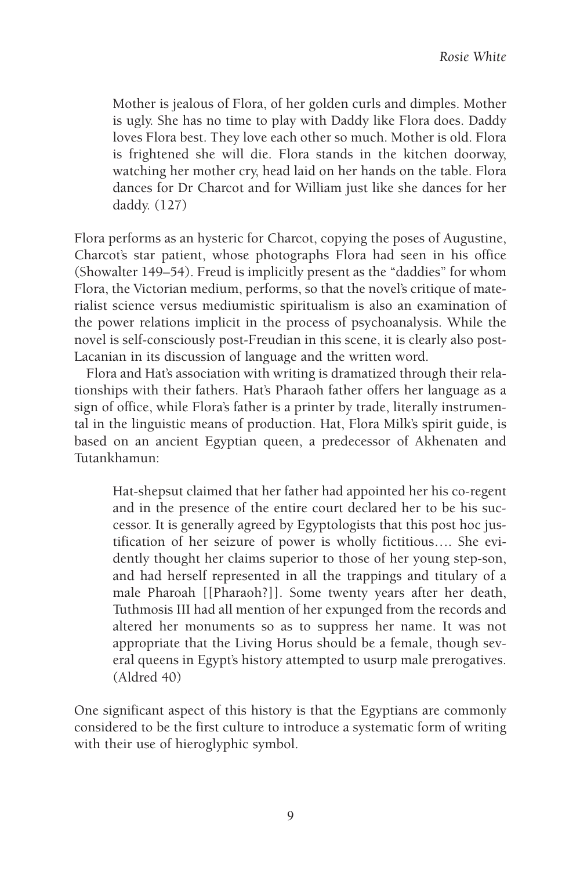Mother is jealous of Flora, of her golden curls and dimples. Mother is ugly. She has no time to play with Daddy like Flora does. Daddy loves Flora best. They love each other so much. Mother is old. Flora is frightened she will die. Flora stands in the kitchen doorway, watching her mother cry, head laid on her hands on the table. Flora dances for Dr Charcot and for William just like she dances for her daddy. (127)

Flora performs as an hysteric for Charcot, copying the poses of Augustine, Charcot's star patient, whose photographs Flora had seen in his office (Showalter 149–54). Freud is implicitly present as the "daddies" for whom Flora, the Victorian medium, performs, so that the novel's critique of materialist science versus mediumistic spiritualism is also an examination of the power relations implicit in the process of psychoanalysis. While the novel is self-consciously post-Freudian in this scene, it is clearly also post-Lacanian in its discussion of language and the written word.

Flora and Hat's association with writing is dramatized through their relationships with their fathers. Hat's Pharaoh father offers her language as a sign of office, while Flora's father is a printer by trade, literally instrumental in the linguistic means of production. Hat, Flora Milk's spirit guide, is based on an ancient Egyptian queen, a predecessor of Akhenaten and Tutankhamun:

Hat-shepsut claimed that her father had appointed her his co-regent and in the presence of the entire court declared her to be his successor. It is generally agreed by Egyptologists that this post hoc justification of her seizure of power is wholly fictitious…. She evidently thought her claims superior to those of her young step-son, and had herself represented in all the trappings and titulary of a male Pharoah [[Pharaoh?]]. Some twenty years after her death, Tuthmosis III had all mention of her expunged from the records and altered her monuments so as to suppress her name. It was not appropriate that the Living Horus should be a female, though several queens in Egypt's history attempted to usurp male prerogatives. (Aldred 40)

One significant aspect of this history is that the Egyptians are commonly considered to be the first culture to introduce a systematic form of writing with their use of hieroglyphic symbol.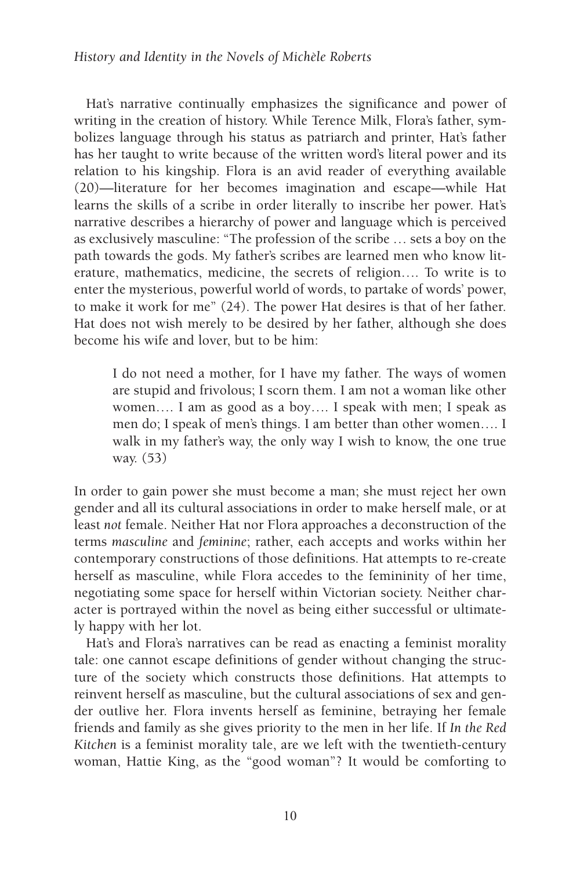#### *History and Identity in the Novels of Michèle Roberts*

Hat's narrative continually emphasizes the significance and power of writing in the creation of history. While Terence Milk, Flora's father, symbolizes language through his status as patriarch and printer, Hat's father has her taught to write because of the written word's literal power and its relation to his kingship. Flora is an avid reader of everything available (20)—literature for her becomes imagination and escape—while Hat learns the skills of a scribe in order literally to inscribe her power. Hat's narrative describes a hierarchy of power and language which is perceived as exclusively masculine: "The profession of the scribe … sets a boy on the path towards the gods. My father's scribes are learned men who know literature, mathematics, medicine, the secrets of religion…. To write is to enter the mysterious, powerful world of words, to partake of words' power, to make it work for me" (24). The power Hat desires is that of her father. Hat does not wish merely to be desired by her father, although she does become his wife and lover, but to be him:

I do not need a mother, for I have my father. The ways of women are stupid and frivolous; I scorn them. I am not a woman like other women…. I am as good as a boy…. I speak with men; I speak as men do; I speak of men's things. I am better than other women…. I walk in my father's way, the only way I wish to know, the one true way. (53)

In order to gain power she must become a man; she must reject her own gender and all its cultural associations in order to make herself male, or at least *not* female. Neither Hat nor Flora approaches a deconstruction of the terms *masculine* and *feminine*; rather, each accepts and works within her contemporary constructions of those definitions. Hat attempts to re-create herself as masculine, while Flora accedes to the femininity of her time, negotiating some space for herself within Victorian society. Neither character is portrayed within the novel as being either successful or ultimately happy with her lot.

Hat's and Flora's narratives can be read as enacting a feminist morality tale: one cannot escape definitions of gender without changing the structure of the society which constructs those definitions. Hat attempts to reinvent herself as masculine, but the cultural associations of sex and gender outlive her. Flora invents herself as feminine, betraying her female friends and family as she gives priority to the men in her life. If *In the Red Kitchen* is a feminist morality tale, are we left with the twentieth-century woman, Hattie King, as the "good woman"? It would be comforting to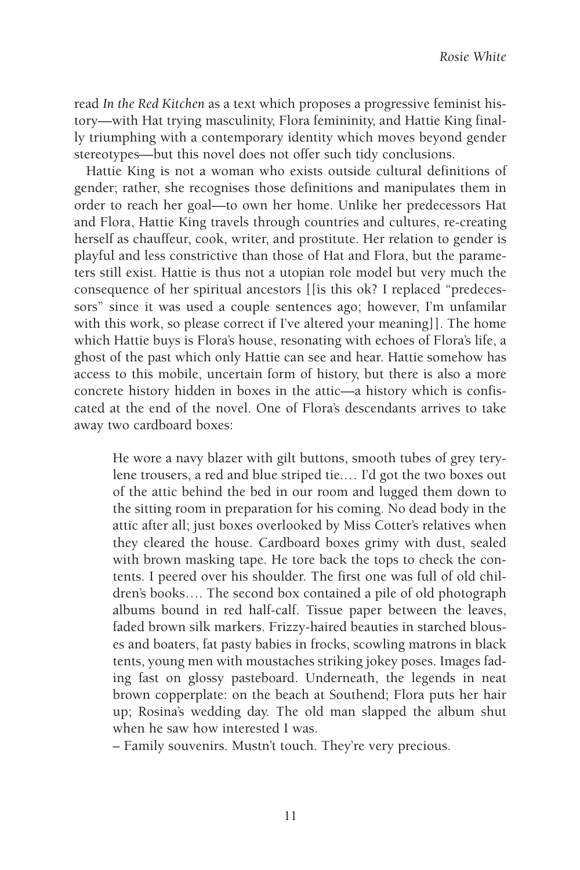read *In the Red Kitchen* as a text which proposes a progressive feminist history—with Hat trying masculinity, Flora femininity, and Hattie King finally triumphing with a contemporary identity which moves beyond gender stereotypes—but this novel does not offer such tidy conclusions.

Hattie King is not a woman who exists outside cultural definitions of gender; rather, she recognises those definitions and manipulates them in order to reach her goal—to own her home. Unlike her predecessors Hat and Flora, Hattie King travels through countries and cultures, re-creating herself as chauffeur, cook, writer, and prostitute. Her relation to gender is playful and less constrictive than those of Hat and Flora, but the parameters still exist. Hattie is thus not a utopian role model but very much the consequence of her spiritual ancestors [[is this ok? I replaced "predecessors" since it was used a couple sentences ago; however, I'm unfamilar with this work, so please correct if I've altered your meaning]]. The home which Hattie buys is Flora's house, resonating with echoes of Flora's life, a ghost of the past which only Hattie can see and hear. Hattie somehow has access to this mobile, uncertain form of history, but there is also a more concrete history hidden in boxes in the attic—a history which is confiscated at the end of the novel. One of Flora's descendants arrives to take away two cardboard boxes:

He wore a navy blazer with gilt buttons, smooth tubes of grey terylene trousers, a red and blue striped tie.… I'd got the two boxes out of the attic behind the bed in our room and lugged them down to the sitting room in preparation for his coming. No dead body in the attic after all; just boxes overlooked by Miss Cotter's relatives when they cleared the house. Cardboard boxes grimy with dust, sealed with brown masking tape. He tore back the tops to check the contents. I peered over his shoulder. The first one was full of old children's books…. The second box contained a pile of old photograph albums bound in red half-calf. Tissue paper between the leaves, faded brown silk markers. Frizzy-haired beauties in starched blouses and boaters, fat pasty babies in frocks, scowling matrons in black tents, young men with moustaches striking jokey poses. Images fading fast on glossy pasteboard. Underneath, the legends in neat brown copperplate: on the beach at Southend; Flora puts her hair up; Rosina's wedding day. The old man slapped the album shut when he saw how interested I was.

– Family souvenirs. Mustn't touch. They're very precious.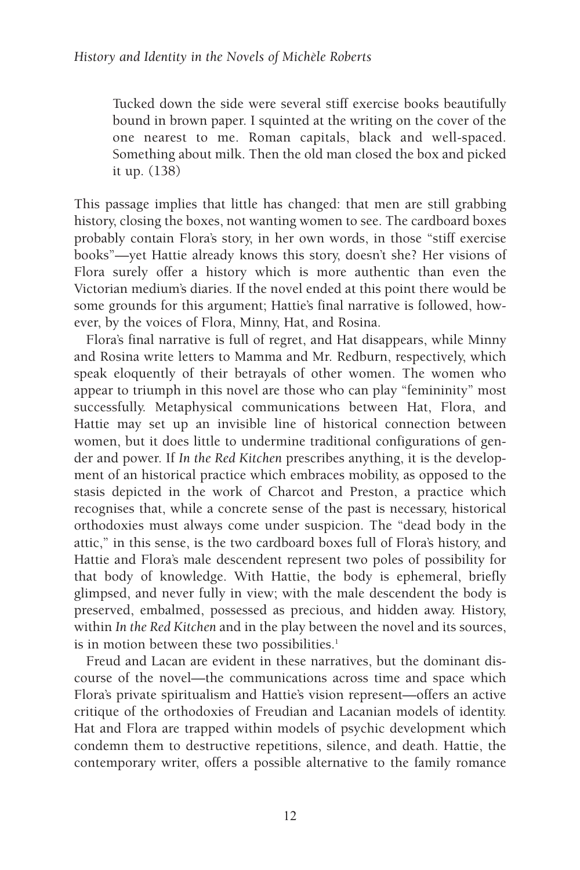Tucked down the side were several stiff exercise books beautifully bound in brown paper. I squinted at the writing on the cover of the one nearest to me. Roman capitals, black and well-spaced. Something about milk. Then the old man closed the box and picked it up. (138)

This passage implies that little has changed: that men are still grabbing history, closing the boxes, not wanting women to see. The cardboard boxes probably contain Flora's story, in her own words, in those "stiff exercise books"—yet Hattie already knows this story, doesn't she? Her visions of Flora surely offer a history which is more authentic than even the Victorian medium's diaries. If the novel ended at this point there would be some grounds for this argument; Hattie's final narrative is followed, however, by the voices of Flora, Minny, Hat, and Rosina.

Flora's final narrative is full of regret, and Hat disappears, while Minny and Rosina write letters to Mamma and Mr. Redburn, respectively, which speak eloquently of their betrayals of other women. The women who appear to triumph in this novel are those who can play "femininity" most successfully. Metaphysical communications between Hat, Flora, and Hattie may set up an invisible line of historical connection between women, but it does little to undermine traditional configurations of gender and power. If *In the Red Kitchen* prescribes anything, it is the development of an historical practice which embraces mobility, as opposed to the stasis depicted in the work of Charcot and Preston, a practice which recognises that, while a concrete sense of the past is necessary, historical orthodoxies must always come under suspicion. The "dead body in the attic," in this sense, is the two cardboard boxes full of Flora's history, and Hattie and Flora's male descendent represent two poles of possibility for that body of knowledge. With Hattie, the body is ephemeral, briefly glimpsed, and never fully in view; with the male descendent the body is preserved, embalmed, possessed as precious, and hidden away. History, within *In the Red Kitchen* and in the play between the novel and its sources, is in motion between these two possibilities.<sup>1</sup>

Freud and Lacan are evident in these narratives, but the dominant discourse of the novel—the communications across time and space which Flora's private spiritualism and Hattie's vision represent—offers an active critique of the orthodoxies of Freudian and Lacanian models of identity. Hat and Flora are trapped within models of psychic development which condemn them to destructive repetitions, silence, and death. Hattie, the contemporary writer, offers a possible alternative to the family romance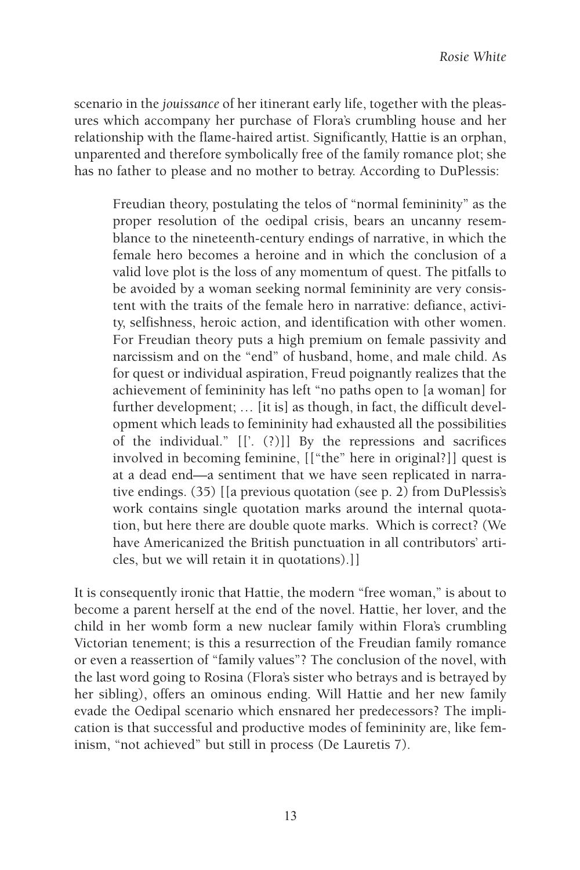scenario in the *jouissance* of her itinerant early life, together with the pleasures which accompany her purchase of Flora's crumbling house and her relationship with the flame-haired artist. Significantly, Hattie is an orphan, unparented and therefore symbolically free of the family romance plot; she has no father to please and no mother to betray. According to DuPlessis:

Freudian theory, postulating the telos of "normal femininity" as the proper resolution of the oedipal crisis, bears an uncanny resemblance to the nineteenth-century endings of narrative, in which the female hero becomes a heroine and in which the conclusion of a valid love plot is the loss of any momentum of quest. The pitfalls to be avoided by a woman seeking normal femininity are very consistent with the traits of the female hero in narrative: defiance, activity, selfishness, heroic action, and identification with other women. For Freudian theory puts a high premium on female passivity and narcissism and on the "end" of husband, home, and male child. As for quest or individual aspiration, Freud poignantly realizes that the achievement of femininity has left "no paths open to [a woman] for further development; … [it is] as though, in fact, the difficult development which leads to femininity had exhausted all the possibilities of the individual." [['. (?)]] By the repressions and sacrifices involved in becoming feminine, [["the" here in original?]] quest is at a dead end—a sentiment that we have seen replicated in narrative endings. (35) [[a previous quotation (see p. 2) from DuPlessis's work contains single quotation marks around the internal quotation, but here there are double quote marks. Which is correct? (We have Americanized the British punctuation in all contributors' articles, but we will retain it in quotations).]]

It is consequently ironic that Hattie, the modern "free woman," is about to become a parent herself at the end of the novel. Hattie, her lover, and the child in her womb form a new nuclear family within Flora's crumbling Victorian tenement; is this a resurrection of the Freudian family romance or even a reassertion of "family values"? The conclusion of the novel, with the last word going to Rosina (Flora's sister who betrays and is betrayed by her sibling), offers an ominous ending. Will Hattie and her new family evade the Oedipal scenario which ensnared her predecessors? The implication is that successful and productive modes of femininity are, like feminism, "not achieved" but still in process (De Lauretis 7).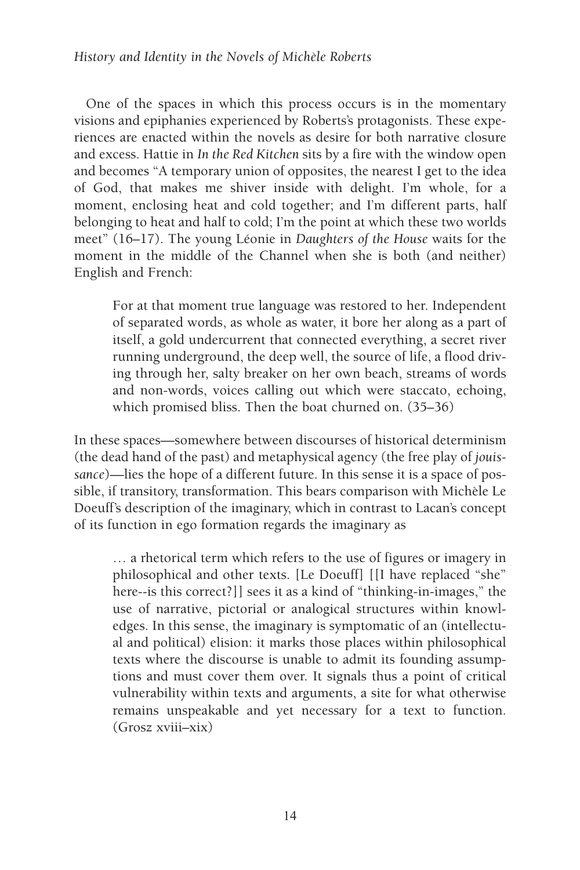## *History and Identity in the Novels of Michèle Roberts*

One of the spaces in which this process occurs is in the momentary visions and epiphanies experienced by Roberts's protagonists. These experiences are enacted within the novels as desire for both narrative closure and excess. Hattie in *In the Red Kitchen* sits by a fire with the window open and becomes "A temporary union of opposites, the nearest I get to the idea of God, that makes me shiver inside with delight. I'm whole, for a moment, enclosing heat and cold together; and I'm different parts, half belonging to heat and half to cold; I'm the point at which these two worlds meet" (16–17). The young Léonie in *Daughters of the House* waits for the moment in the middle of the Channel when she is both (and neither) English and French:

For at that moment true language was restored to her. Independent of separated words, as whole as water, it bore her along as a part of itself, a gold undercurrent that connected everything, a secret river running underground, the deep well, the source of life, a flood driving through her, salty breaker on her own beach, streams of words and non-words, voices calling out which were staccato, echoing, which promised bliss. Then the boat churned on. (35–36)

In these spaces—somewhere between discourses of historical determinism (the dead hand of the past) and metaphysical agency (the free play of *jouissance*)—lies the hope of a different future. In this sense it is a space of possible, if transitory, transformation. This bears comparison with Michèle Le Doeuff's description of the imaginary, which in contrast to Lacan's concept of its function in ego formation regards the imaginary as

… a rhetorical term which refers to the use of figures or imagery in philosophical and other texts. [Le Doeuff] [[I have replaced "she" here--is this correct?]] sees it as a kind of "thinking-in-images," the use of narrative, pictorial or analogical structures within knowledges. In this sense, the imaginary is symptomatic of an (intellectual and political) elision: it marks those places within philosophical texts where the discourse is unable to admit its founding assumptions and must cover them over. It signals thus a point of critical vulnerability within texts and arguments, a site for what otherwise remains unspeakable and yet necessary for a text to function. (Grosz xviii–xix)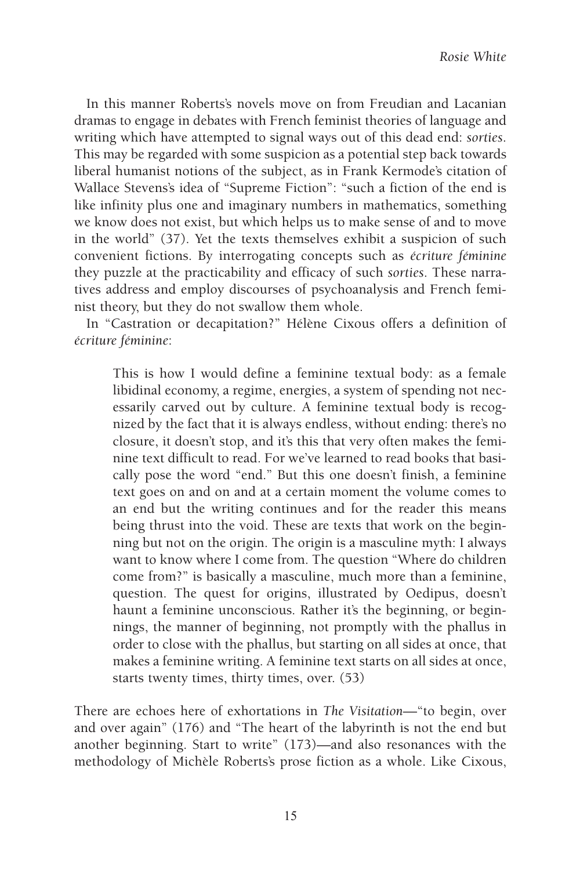In this manner Roberts's novels move on from Freudian and Lacanian dramas to engage in debates with French feminist theories of language and writing which have attempted to signal ways out of this dead end: *sorties*. This may be regarded with some suspicion as a potential step back towards liberal humanist notions of the subject, as in Frank Kermode's citation of Wallace Stevens's idea of "Supreme Fiction": "such a fiction of the end is like infinity plus one and imaginary numbers in mathematics, something we know does not exist, but which helps us to make sense of and to move in the world" (37). Yet the texts themselves exhibit a suspicion of such convenient fictions. By interrogating concepts such as *écriture féminine* they puzzle at the practicability and efficacy of such *sorties*. These narratives address and employ discourses of psychoanalysis and French feminist theory, but they do not swallow them whole.

In "Castration or decapitation?" Hélène Cixous offers a definition of *écriture féminine*:

This is how I would define a feminine textual body: as a female libidinal economy, a regime, energies, a system of spending not necessarily carved out by culture. A feminine textual body is recognized by the fact that it is always endless, without ending: there's no closure, it doesn't stop, and it's this that very often makes the feminine text difficult to read. For we've learned to read books that basically pose the word "end." But this one doesn't finish, a feminine text goes on and on and at a certain moment the volume comes to an end but the writing continues and for the reader this means being thrust into the void. These are texts that work on the beginning but not on the origin. The origin is a masculine myth: I always want to know where I come from. The question "Where do children come from?" is basically a masculine, much more than a feminine, question. The quest for origins, illustrated by Oedipus, doesn't haunt a feminine unconscious. Rather it's the beginning, or beginnings, the manner of beginning, not promptly with the phallus in order to close with the phallus, but starting on all sides at once, that makes a feminine writing. A feminine text starts on all sides at once, starts twenty times, thirty times, over. (53)

There are echoes here of exhortations in *The Visitation*—"to begin, over and over again" (176) and "The heart of the labyrinth is not the end but another beginning. Start to write" (173)—and also resonances with the methodology of Michèle Roberts's prose fiction as a whole. Like Cixous,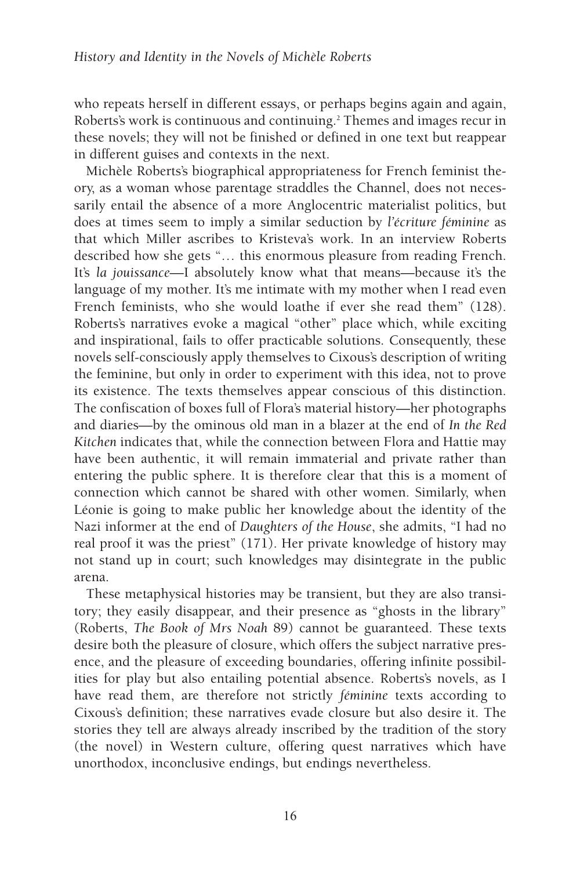who repeats herself in different essays, or perhaps begins again and again, Roberts's work is continuous and continuing.<sup>2</sup> Themes and images recur in these novels; they will not be finished or defined in one text but reappear in different guises and contexts in the next.

Michèle Roberts's biographical appropriateness for French feminist theory, as a woman whose parentage straddles the Channel, does not necessarily entail the absence of a more Anglocentric materialist politics, but does at times seem to imply a similar seduction by *l'écriture féminine* as that which Miller ascribes to Kristeva's work. In an interview Roberts described how she gets "… this enormous pleasure from reading French. It's *la jouissance*—I absolutely know what that means—because it's the language of my mother. It's me intimate with my mother when I read even French feminists, who she would loathe if ever she read them" (128). Roberts's narratives evoke a magical "other" place which, while exciting and inspirational, fails to offer practicable solutions. Consequently, these novels self-consciously apply themselves to Cixous's description of writing the feminine, but only in order to experiment with this idea, not to prove its existence. The texts themselves appear conscious of this distinction. The confiscation of boxes full of Flora's material history—her photographs and diaries—by the ominous old man in a blazer at the end of *In the Red Kitchen* indicates that, while the connection between Flora and Hattie may have been authentic, it will remain immaterial and private rather than entering the public sphere. It is therefore clear that this is a moment of connection which cannot be shared with other women. Similarly, when Léonie is going to make public her knowledge about the identity of the Nazi informer at the end of *Daughters of the House*, she admits, "I had no real proof it was the priest" (171). Her private knowledge of history may not stand up in court; such knowledges may disintegrate in the public arena.

These metaphysical histories may be transient, but they are also transitory; they easily disappear, and their presence as "ghosts in the library" (Roberts, *The Book of Mrs Noah* 89) cannot be guaranteed. These texts desire both the pleasure of closure, which offers the subject narrative presence, and the pleasure of exceeding boundaries, offering infinite possibilities for play but also entailing potential absence. Roberts's novels, as I have read them, are therefore not strictly *féminine* texts according to Cixous's definition; these narratives evade closure but also desire it. The stories they tell are always already inscribed by the tradition of the story (the novel) in Western culture, offering quest narratives which have unorthodox, inconclusive endings, but endings nevertheless.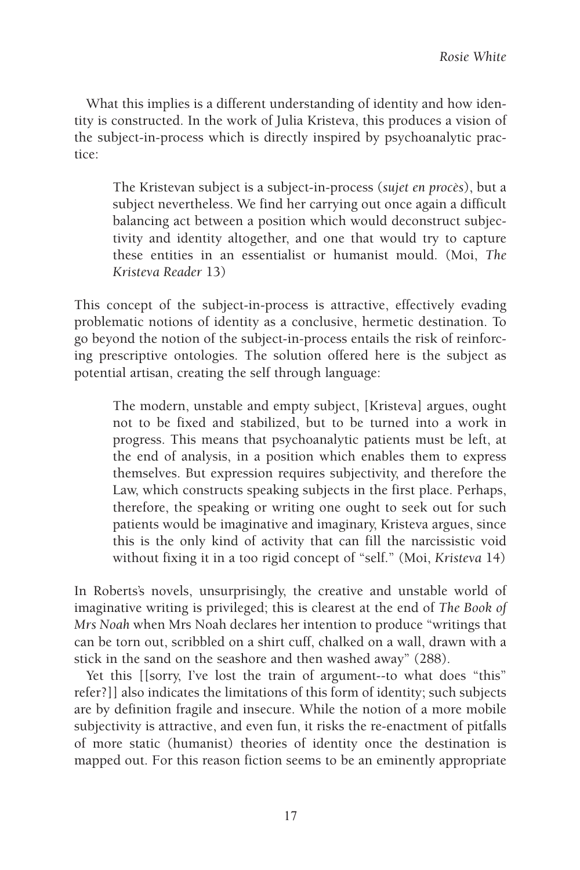What this implies is a different understanding of identity and how identity is constructed. In the work of Julia Kristeva, this produces a vision of the subject-in-process which is directly inspired by psychoanalytic practice:

The Kristevan subject is a subject-in-process (*sujet en procès*), but a subject nevertheless. We find her carrying out once again a difficult balancing act between a position which would deconstruct subjectivity and identity altogether, and one that would try to capture these entities in an essentialist or humanist mould. (Moi, *The Kristeva Reader* 13)

This concept of the subject-in-process is attractive, effectively evading problematic notions of identity as a conclusive, hermetic destination. To go beyond the notion of the subject-in-process entails the risk of reinforcing prescriptive ontologies. The solution offered here is the subject as potential artisan, creating the self through language:

The modern, unstable and empty subject, [Kristeva] argues, ought not to be fixed and stabilized, but to be turned into a work in progress. This means that psychoanalytic patients must be left, at the end of analysis, in a position which enables them to express themselves. But expression requires subjectivity, and therefore the Law, which constructs speaking subjects in the first place. Perhaps, therefore, the speaking or writing one ought to seek out for such patients would be imaginative and imaginary, Kristeva argues, since this is the only kind of activity that can fill the narcissistic void without fixing it in a too rigid concept of "self." (Moi, *Kristeva* 14)

In Roberts's novels, unsurprisingly, the creative and unstable world of imaginative writing is privileged; this is clearest at the end of *The Book of Mrs Noah* when Mrs Noah declares her intention to produce "writings that can be torn out, scribbled on a shirt cuff, chalked on a wall, drawn with a stick in the sand on the seashore and then washed away" (288).

Yet this [[sorry, I've lost the train of argument--to what does "this" refer?]] also indicates the limitations of this form of identity; such subjects are by definition fragile and insecure. While the notion of a more mobile subjectivity is attractive, and even fun, it risks the re-enactment of pitfalls of more static (humanist) theories of identity once the destination is mapped out. For this reason fiction seems to be an eminently appropriate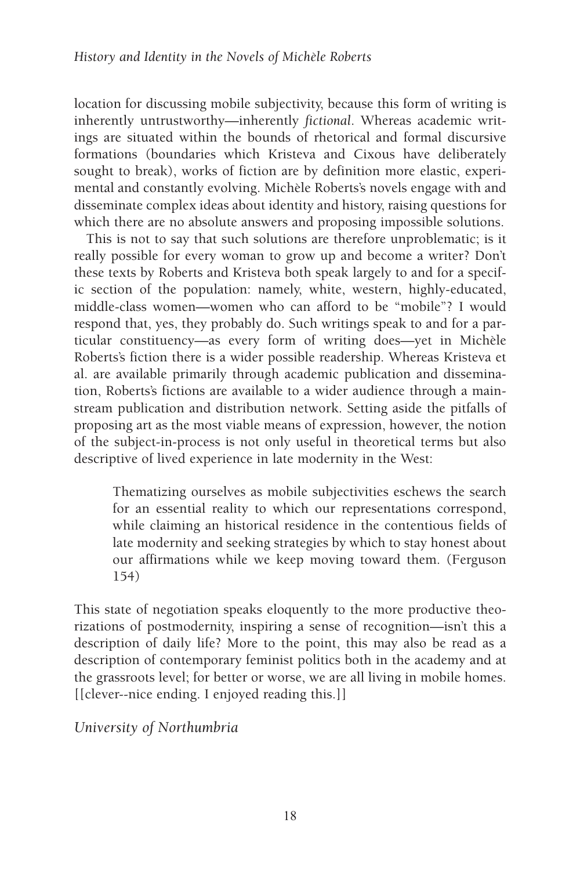location for discussing mobile subjectivity, because this form of writing is inherently untrustworthy—inherently *fictional*. Whereas academic writings are situated within the bounds of rhetorical and formal discursive formations (boundaries which Kristeva and Cixous have deliberately sought to break), works of fiction are by definition more elastic, experimental and constantly evolving. Michèle Roberts's novels engage with and disseminate complex ideas about identity and history, raising questions for which there are no absolute answers and proposing impossible solutions.

This is not to say that such solutions are therefore unproblematic; is it really possible for every woman to grow up and become a writer? Don't these texts by Roberts and Kristeva both speak largely to and for a specific section of the population: namely, white, western, highly-educated, middle-class women—women who can afford to be "mobile"? I would respond that, yes, they probably do. Such writings speak to and for a particular constituency—as every form of writing does—yet in Michèle Roberts's fiction there is a wider possible readership. Whereas Kristeva et al. are available primarily through academic publication and dissemination, Roberts's fictions are available to a wider audience through a mainstream publication and distribution network. Setting aside the pitfalls of proposing art as the most viable means of expression, however, the notion of the subject-in-process is not only useful in theoretical terms but also descriptive of lived experience in late modernity in the West:

Thematizing ourselves as mobile subjectivities eschews the search for an essential reality to which our representations correspond, while claiming an historical residence in the contentious fields of late modernity and seeking strategies by which to stay honest about our affirmations while we keep moving toward them. (Ferguson 154)

This state of negotiation speaks eloquently to the more productive theorizations of postmodernity, inspiring a sense of recognition—isn't this a description of daily life? More to the point, this may also be read as a description of contemporary feminist politics both in the academy and at the grassroots level; for better or worse, we are all living in mobile homes. [[clever--nice ending. I enjoyed reading this.]]

*University of Northumbria*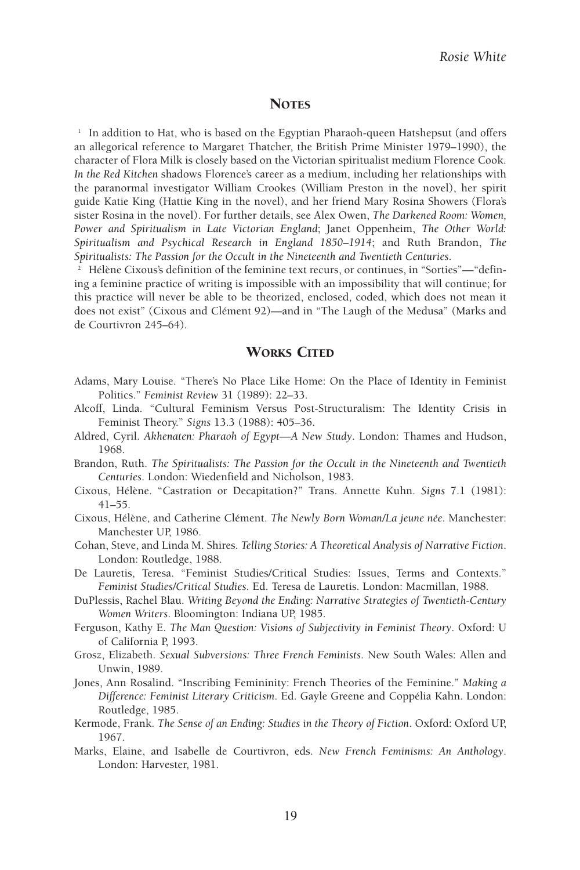#### **NOTES**

1 In addition to Hat, who is based on the Egyptian Pharaoh-queen Hatshepsut (and offers an allegorical reference to Margaret Thatcher, the British Prime Minister 1979–1990), the character of Flora Milk is closely based on the Victorian spiritualist medium Florence Cook. *In the Red Kitchen* shadows Florence's career as a medium, including her relationships with the paranormal investigator William Crookes (William Preston in the novel), her spirit guide Katie King (Hattie King in the novel), and her friend Mary Rosina Showers (Flora's sister Rosina in the novel). For further details, see Alex Owen, *The Darkened Room: Women, Power and Spiritualism in Late Victorian England*; Janet Oppenheim, *The Other World: Spiritualism and Psychical Research in England 1850–1914*; and Ruth Brandon, *The Spiritualists: The Passion for the Occult in the Nineteenth and Twentieth Centuries*.

<sup>2</sup> Hélène Cixous's definition of the feminine text recurs, or continues, in "Sorties"—"defining a feminine practice of writing is impossible with an impossibility that will continue; for this practice will never be able to be theorized, enclosed, coded, which does not mean it does not exist" (Cixous and Clément 92)—and in "The Laugh of the Medusa" (Marks and de Courtivron 245–64).

#### WORKS CITED

- Adams, Mary Louise. "There's No Place Like Home: On the Place of Identity in Feminist Politics." *Feminist Review* 31 (1989): 22–33.
- Alcoff, Linda. "Cultural Feminism Versus Post-Structuralism: The Identity Crisis in Feminist Theory." *Signs* 13.3 (1988): 405–36.
- Aldred, Cyril. *Akhenaten: Pharaoh of Egypt*—*A New Study*. London: Thames and Hudson, 1968.
- Brandon, Ruth. *The Spiritualists: The Passion for the Occult in the Nineteenth and Twentieth Centuries*. London: Wiedenfield and Nicholson, 1983.
- Cixous, Hélène. "Castration or Decapitation?" Trans. Annette Kuhn. *Signs* 7.1 (1981): 41–55.
- Cixous, Hélène, and Catherine Clément. *The Newly Born Woman/La jeune née*. Manchester: Manchester UP, 1986.
- Cohan, Steve, and Linda M. Shires. *Telling Stories: A Theoretical Analysis of Narrative Fiction*. London: Routledge, 1988.
- De Lauretis, Teresa. "Feminist Studies/Critical Studies: Issues, Terms and Contexts." *Feminist Studies/Critical Studies*. Ed. Teresa de Lauretis. London: Macmillan, 1988.
- DuPlessis, Rachel Blau. *Writing Beyond the Ending: Narrative Strategies of Twentieth-Century Women Writers*. Bloomington: Indiana UP, 1985.
- Ferguson, Kathy E. *The Man Question: Visions of Subjectivity in Feminist Theory*. Oxford: U of California P, 1993.
- Grosz, Elizabeth. *Sexual Subversions: Three French Feminists*. New South Wales: Allen and Unwin, 1989.
- Jones, Ann Rosalind. "Inscribing Femininity: French Theories of the Feminine." *Making a Difference: Feminist Literary Criticism*. Ed. Gayle Greene and Coppélia Kahn. London: Routledge, 1985.
- Kermode, Frank. *The Sense of an Ending: Studies in the Theory of Fiction*. Oxford: Oxford UP, 1967.
- Marks, Elaine, and Isabelle de Courtivron, eds. *New French Feminisms: An Anthology*. London: Harvester, 1981.